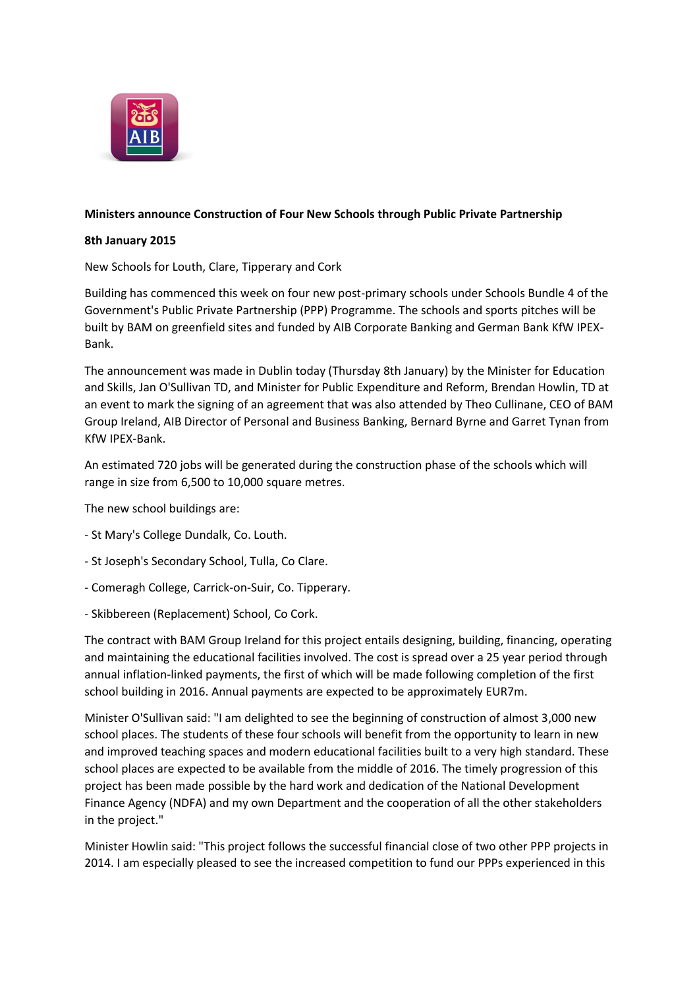

## **Ministers announce Construction of Four New Schools through Public Private Partnership**

## **8th January 2015**

New Schools for Louth, Clare, Tipperary and Cork

Building has commenced this week on four new post-primary schools under Schools Bundle 4 of the Government's Public Private Partnership (PPP) Programme. The schools and sports pitches will be built by BAM on greenfield sites and funded by AIB Corporate Banking and German Bank KfW IPEX-Bank.

The announcement was made in Dublin today (Thursday 8th January) by the Minister for Education and Skills, Jan O'Sullivan TD, and Minister for Public Expenditure and Reform, Brendan Howlin, TD at an event to mark the signing of an agreement that was also attended by Theo Cullinane, CEO of BAM Group Ireland, AIB Director of Personal and Business Banking, Bernard Byrne and Garret Tynan from KfW IPEX-Bank.

An estimated 720 jobs will be generated during the construction phase of the schools which will range in size from 6,500 to 10,000 square metres.

The new school buildings are:

- St Mary's College Dundalk, Co. Louth.
- St Joseph's Secondary School, Tulla, Co Clare.
- Comeragh College, Carrick-on-Suir, Co. Tipperary.
- Skibbereen (Replacement) School, Co Cork.

The contract with BAM Group Ireland for this project entails designing, building, financing, operating and maintaining the educational facilities involved. The cost is spread over a 25 year period through annual inflation-linked payments, the first of which will be made following completion of the first school building in 2016. Annual payments are expected to be approximately EUR7m.

Minister O'Sullivan said: "I am delighted to see the beginning of construction of almost 3,000 new school places. The students of these four schools will benefit from the opportunity to learn in new and improved teaching spaces and modern educational facilities built to a very high standard. These school places are expected to be available from the middle of 2016. The timely progression of this project has been made possible by the hard work and dedication of the National Development Finance Agency (NDFA) and my own Department and the cooperation of all the other stakeholders in the project."

Minister Howlin said: "This project follows the successful financial close of two other PPP projects in 2014. I am especially pleased to see the increased competition to fund our PPPs experienced in this